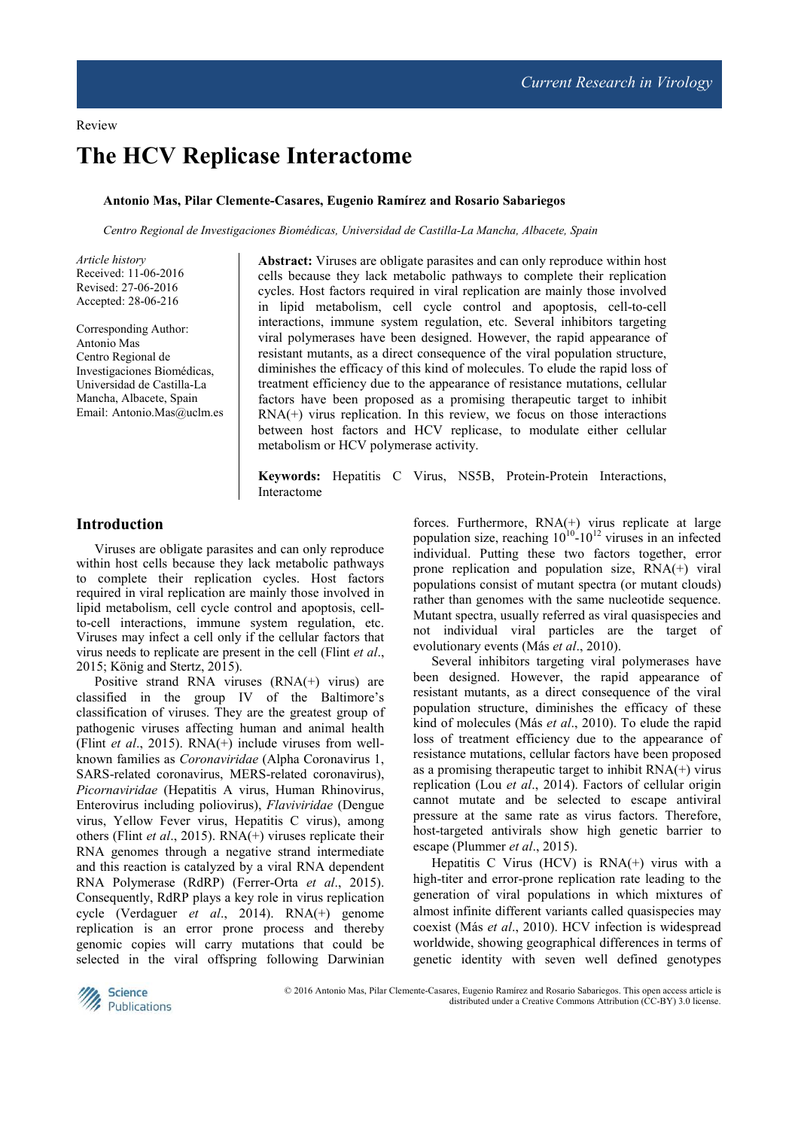# **The HCV Replicase Interactome**

## **Antonio Mas, Pilar Clemente-Casares, Eugenio Ramírez and Rosario Sabariegos**

*Centro Regional de Investigaciones Biomédicas, Universidad de Castilla-La Mancha, Albacete, Spain* 

*Article history*  Received: 11-06-2016 Revised: 27-06-2016 Accepted: 28-06-216

Corresponding Author: Antonio Mas Centro Regional de Investigaciones Biomédicas, Universidad de Castilla-La Mancha, Albacete, Spain Email: Antonio.Mas@uclm.es **Abstract:** Viruses are obligate parasites and can only reproduce within host cells because they lack metabolic pathways to complete their replication cycles. Host factors required in viral replication are mainly those involved in lipid metabolism, cell cycle control and apoptosis, cell-to-cell interactions, immune system regulation, etc. Several inhibitors targeting viral polymerases have been designed. However, the rapid appearance of resistant mutants, as a direct consequence of the viral population structure, diminishes the efficacy of this kind of molecules. To elude the rapid loss of treatment efficiency due to the appearance of resistance mutations, cellular factors have been proposed as a promising therapeutic target to inhibit  $RNA(+)$  virus replication. In this review, we focus on those interactions between host factors and HCV replicase, to modulate either cellular metabolism or HCV polymerase activity.

**Keywords:** Hepatitis C Virus, NS5B, Protein-Protein Interactions, Interactome

# **Introduction**

Viruses are obligate parasites and can only reproduce within host cells because they lack metabolic pathways to complete their replication cycles. Host factors required in viral replication are mainly those involved in lipid metabolism, cell cycle control and apoptosis, cellto-cell interactions, immune system regulation, etc. Viruses may infect a cell only if the cellular factors that virus needs to replicate are present in the cell (Flint *et al*., 2015; König and Stertz, 2015).

Positive strand RNA viruses (RNA(+) virus) are classified in the group IV of the Baltimore's classification of viruses. They are the greatest group of pathogenic viruses affecting human and animal health (Flint *et al*., 2015). RNA(+) include viruses from wellknown families as *Coronaviridae* (Alpha Coronavirus 1, SARS-related coronavirus, MERS-related coronavirus), *Picornaviridae* (Hepatitis A virus, Human Rhinovirus, Enterovirus including poliovirus), *Flaviviridae* (Dengue virus, Yellow Fever virus, Hepatitis C virus), among others (Flint *et al*., 2015). RNA(+) viruses replicate their RNA genomes through a negative strand intermediate and this reaction is catalyzed by a viral RNA dependent RNA Polymerase (RdRP) (Ferrer-Orta *et al*., 2015). Consequently, RdRP plays a key role in virus replication cycle (Verdaguer *et al*., 2014). RNA(+) genome replication is an error prone process and thereby genomic copies will carry mutations that could be selected in the viral offspring following Darwinian

forces. Furthermore, RNA(+) virus replicate at large population size, reaching  $10^{10}$ -10<sup>12</sup> viruses in an infected individual. Putting these two factors together, error prone replication and population size, RNA(+) viral populations consist of mutant spectra (or mutant clouds) rather than genomes with the same nucleotide sequence. Mutant spectra, usually referred as viral quasispecies and not individual viral particles are the target of evolutionary events (Más *et al*., 2010).

Several inhibitors targeting viral polymerases have been designed. However, the rapid appearance of resistant mutants, as a direct consequence of the viral population structure, diminishes the efficacy of these kind of molecules (Más *et al*., 2010). To elude the rapid loss of treatment efficiency due to the appearance of resistance mutations, cellular factors have been proposed as a promising therapeutic target to inhibit RNA(+) virus replication (Lou *et al*., 2014). Factors of cellular origin cannot mutate and be selected to escape antiviral pressure at the same rate as virus factors. Therefore, host-targeted antivirals show high genetic barrier to escape (Plummer *et al*., 2015).

Hepatitis C Virus (HCV) is  $RNA(+)$  virus with a high-titer and error-prone replication rate leading to the generation of viral populations in which mixtures of almost infinite different variants called quasispecies may coexist (Más *et al*., 2010). HCV infection is widespread worldwide, showing geographical differences in terms of genetic identity with seven well defined genotypes



© 2016 Antonio Mas, Pilar Clemente-Casares, Eugenio Ramírez and Rosario Sabariegos. This open access article is distributed under a Creative Commons Attribution (CC-BY) 3.0 license.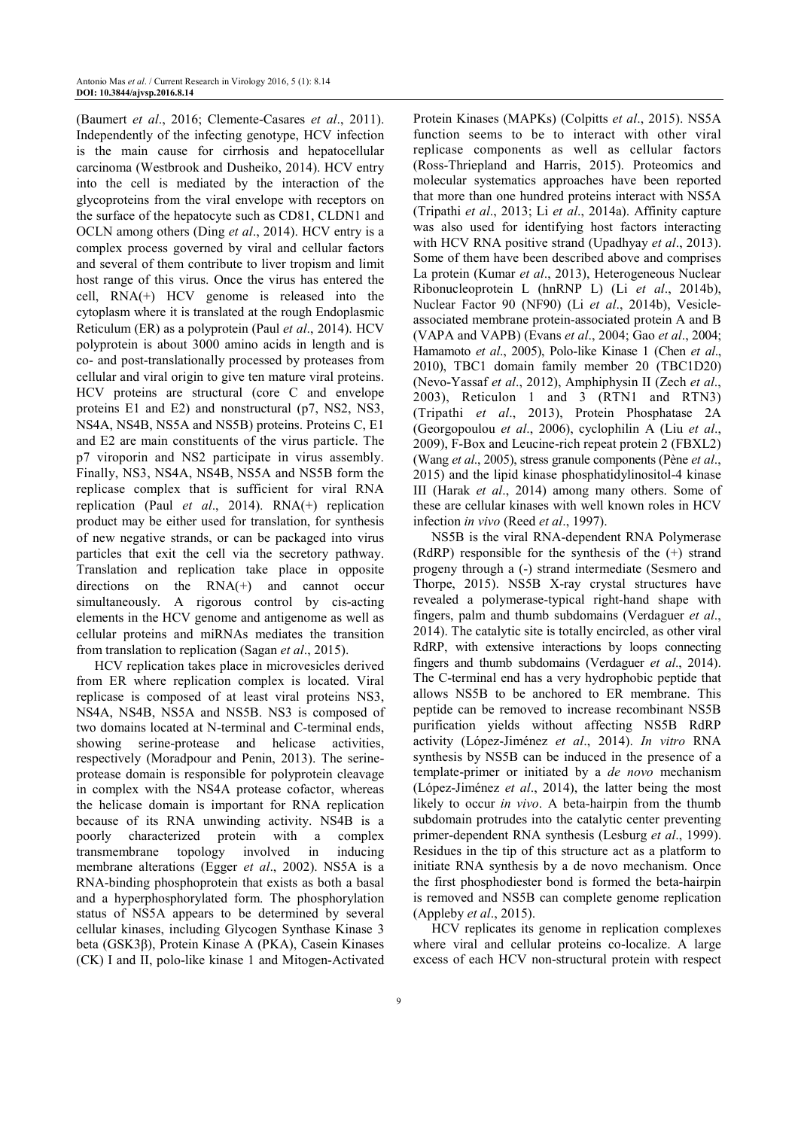(Baumert *et al*., 2016; Clemente-Casares *et al*., 2011). Independently of the infecting genotype, HCV infection is the main cause for cirrhosis and hepatocellular carcinoma (Westbrook and Dusheiko, 2014). HCV entry into the cell is mediated by the interaction of the glycoproteins from the viral envelope with receptors on the surface of the hepatocyte such as CD81, CLDN1 and OCLN among others (Ding *et al*., 2014). HCV entry is a complex process governed by viral and cellular factors and several of them contribute to liver tropism and limit host range of this virus. Once the virus has entered the cell, RNA(+) HCV genome is released into the cytoplasm where it is translated at the rough Endoplasmic Reticulum (ER) as a polyprotein (Paul *et al*., 2014). HCV polyprotein is about 3000 amino acids in length and is co- and post-translationally processed by proteases from cellular and viral origin to give ten mature viral proteins. HCV proteins are structural (core C and envelope proteins E1 and E2) and nonstructural (p7, NS2, NS3, NS4A, NS4B, NS5A and NS5B) proteins. Proteins C, E1 and E2 are main constituents of the virus particle. The p7 viroporin and NS2 participate in virus assembly. Finally, NS3, NS4A, NS4B, NS5A and NS5B form the replicase complex that is sufficient for viral RNA replication (Paul *et al*., 2014). RNA(+) replication product may be either used for translation, for synthesis of new negative strands, or can be packaged into virus particles that exit the cell via the secretory pathway. Translation and replication take place in opposite directions on the RNA(+) and cannot occur simultaneously. A rigorous control by cis-acting elements in the HCV genome and antigenome as well as cellular proteins and miRNAs mediates the transition from translation to replication (Sagan *et al*., 2015).

HCV replication takes place in microvesicles derived from ER where replication complex is located. Viral replicase is composed of at least viral proteins NS3, NS4A, NS4B, NS5A and NS5B. NS3 is composed of two domains located at N-terminal and C-terminal ends, showing serine-protease and helicase activities, respectively (Moradpour and Penin, 2013). The serineprotease domain is responsible for polyprotein cleavage in complex with the NS4A protease cofactor, whereas the helicase domain is important for RNA replication because of its RNA unwinding activity. NS4B is a poorly characterized protein with a complex transmembrane topology involved in inducing membrane alterations (Egger *et al*., 2002). NS5A is a RNA-binding phosphoprotein that exists as both a basal and a hyperphosphorylated form. The phosphorylation status of NS5A appears to be determined by several cellular kinases, including Glycogen Synthase Kinase 3 beta (GSK3β), Protein Kinase A (PKA), Casein Kinases (CK) I and II, polo-like kinase 1 and Mitogen-Activated

Protein Kinases (MAPKs) (Colpitts *et al*., 2015). NS5A function seems to be to interact with other viral replicase components as well as cellular factors (Ross-Thriepland and Harris, 2015). Proteomics and molecular systematics approaches have been reported that more than one hundred proteins interact with NS5A (Tripathi *et al*., 2013; Li *et al*., 2014a). Affinity capture was also used for identifying host factors interacting with HCV RNA positive strand (Upadhyay *et al*., 2013). Some of them have been described above and comprises La protein (Kumar *et al*., 2013), Heterogeneous Nuclear Ribonucleoprotein L (hnRNP L) (Li *et al*., 2014b), Nuclear Factor 90 (NF90) (Li *et al*., 2014b), Vesicleassociated membrane protein-associated protein A and B (VAPA and VAPB) (Evans *et al*., 2004; Gao *et al*., 2004; Hamamoto *et al*., 2005), Polo-like Kinase 1 (Chen *et al*., 2010), TBC1 domain family member 20 (TBC1D20) (Nevo-Yassaf *et al*., 2012), Amphiphysin II (Zech *et al*., 2003), Reticulon 1 and 3 (RTN1 and RTN3) (Tripathi *et al*., 2013), Protein Phosphatase 2A (Georgopoulou *et al*., 2006), cyclophilin A (Liu *et al*., 2009), F-Box and Leucine-rich repeat protein 2 (FBXL2) (Wang *et al*., 2005), stress granule components (Pène *et al*., 2015) and the lipid kinase phosphatidylinositol-4 kinase III (Harak *et al*., 2014) among many others. Some of these are cellular kinases with well known roles in HCV infection *in vivo* (Reed *et al*., 1997).

NS5B is the viral RNA-dependent RNA Polymerase (RdRP) responsible for the synthesis of the (+) strand progeny through a (-) strand intermediate (Sesmero and Thorpe, 2015). NS5B X-ray crystal structures have revealed a polymerase-typical right-hand shape with fingers, palm and thumb subdomains (Verdaguer *et al*., 2014). The catalytic site is totally encircled, as other viral RdRP, with extensive interactions by loops connecting fingers and thumb subdomains (Verdaguer *et al*., 2014). The C-terminal end has a very hydrophobic peptide that allows NS5B to be anchored to ER membrane. This peptide can be removed to increase recombinant NS5B purification yields without affecting NS5B RdRP activity (López-Jiménez *et al*., 2014). *In vitro* RNA synthesis by NS5B can be induced in the presence of a template-primer or initiated by a *de novo* mechanism (López-Jiménez *et al*., 2014), the latter being the most likely to occur *in vivo*. A beta-hairpin from the thumb subdomain protrudes into the catalytic center preventing primer-dependent RNA synthesis (Lesburg *et al*., 1999). Residues in the tip of this structure act as a platform to initiate RNA synthesis by a de novo mechanism. Once the first phosphodiester bond is formed the beta-hairpin is removed and NS5B can complete genome replication (Appleby *et al*., 2015).

HCV replicates its genome in replication complexes where viral and cellular proteins co-localize. A large excess of each HCV non-structural protein with respect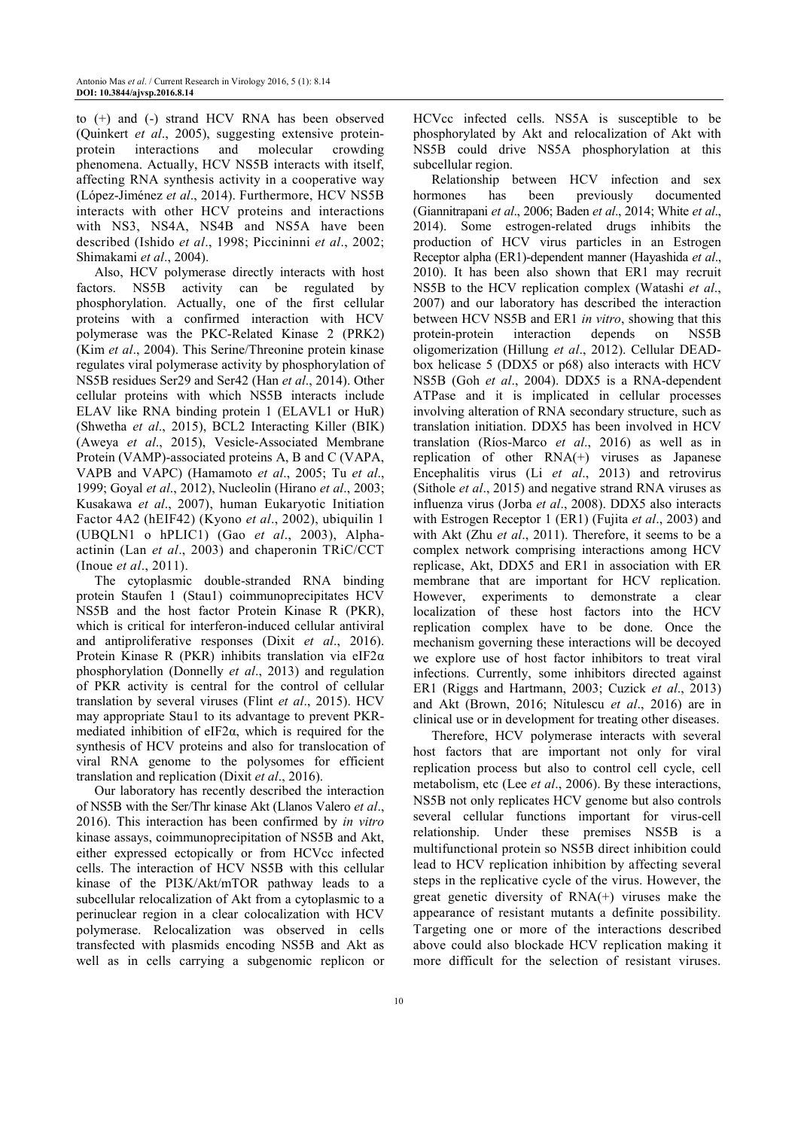to (+) and (-) strand HCV RNA has been observed (Quinkert *et al*., 2005), suggesting extensive proteinprotein interactions and molecular crowding phenomena. Actually, HCV NS5B interacts with itself, affecting RNA synthesis activity in a cooperative way (López-Jiménez *et al*., 2014). Furthermore, HCV NS5B interacts with other HCV proteins and interactions with NS3, NS4A, NS4B and NS5A have been described (Ishido *et al*., 1998; Piccininni *et al*., 2002; Shimakami *et al*., 2004).

Also, HCV polymerase directly interacts with host factors. NS5B activity can be regulated by phosphorylation. Actually, one of the first cellular proteins with a confirmed interaction with HCV polymerase was the PKC-Related Kinase 2 (PRK2) (Kim *et al*., 2004). This Serine/Threonine protein kinase regulates viral polymerase activity by phosphorylation of NS5B residues Ser29 and Ser42 (Han *et al*., 2014). Other cellular proteins with which NS5B interacts include ELAV like RNA binding protein 1 (ELAVL1 or HuR) (Shwetha *et al*., 2015), BCL2 Interacting Killer (BIK) (Aweya *et al*., 2015), Vesicle-Associated Membrane Protein (VAMP)-associated proteins A, B and C (VAPA, VAPB and VAPC) (Hamamoto *et al*., 2005; Tu *et al*., 1999; Goyal *et al*., 2012), Nucleolin (Hirano *et al*., 2003; Kusakawa *et al*., 2007), human Eukaryotic Initiation Factor 4A2 (hEIF42) (Kyono *et al*., 2002), ubiquilin 1 (UBQLN1 o hPLIC1) (Gao *et al*., 2003), Alphaactinin (Lan *et al*., 2003) and chaperonin TRiC/CCT (Inoue *et al*., 2011).

The cytoplasmic double-stranded RNA binding protein Staufen 1 (Stau1) coimmunoprecipitates HCV NS5B and the host factor Protein Kinase R (PKR), which is critical for interferon-induced cellular antiviral and antiproliferative responses (Dixit *et al*., 2016). Protein Kinase R (PKR) inhibits translation via eIF2α phosphorylation (Donnelly *et al*., 2013) and regulation of PKR activity is central for the control of cellular translation by several viruses (Flint *et al*., 2015). HCV may appropriate Stau1 to its advantage to prevent PKRmediated inhibition of eIF2α, which is required for the synthesis of HCV proteins and also for translocation of viral RNA genome to the polysomes for efficient translation and replication (Dixit *et al*., 2016).

Our laboratory has recently described the interaction of NS5B with the Ser/Thr kinase Akt (Llanos Valero *et al*., 2016). This interaction has been confirmed by *in vitro* kinase assays, coimmunoprecipitation of NS5B and Akt, either expressed ectopically or from HCVcc infected cells. The interaction of HCV NS5B with this cellular kinase of the PI3K/Akt/mTOR pathway leads to a subcellular relocalization of Akt from a cytoplasmic to a perinuclear region in a clear colocalization with HCV polymerase. Relocalization was observed in cells transfected with plasmids encoding NS5B and Akt as well as in cells carrying a subgenomic replicon or

HCVcc infected cells. NS5A is susceptible to be phosphorylated by Akt and relocalization of Akt with NS5B could drive NS5A phosphorylation at this subcellular region.

Relationship between HCV infection and sex hormones has been previously documented (Giannitrapani *et al*., 2006; Baden *et al*., 2014; White *et al*., 2014). Some estrogen-related drugs inhibits the production of HCV virus particles in an Estrogen Receptor alpha (ER1)-dependent manner (Hayashida *et al*., 2010). It has been also shown that ER1 may recruit NS5B to the HCV replication complex (Watashi *et al*., 2007) and our laboratory has described the interaction between HCV NS5B and ER1 *in vitro*, showing that this protein-protein interaction depends on NS5B oligomerization (Hillung *et al*., 2012). Cellular DEADbox helicase 5 (DDX5 or p68) also interacts with HCV NS5B (Goh *et al*., 2004). DDX5 is a RNA-dependent ATPase and it is implicated in cellular processes involving alteration of RNA secondary structure, such as translation initiation. DDX5 has been involved in HCV translation (Ríos-Marco *et al*., 2016) as well as in replication of other RNA(+) viruses as Japanese Encephalitis virus (Li *et al*., 2013) and retrovirus (Sithole *et al*., 2015) and negative strand RNA viruses as influenza virus (Jorba *et al*., 2008). DDX5 also interacts with Estrogen Receptor 1 (ER1) (Fujita *et al*., 2003) and with Akt (Zhu *et al*., 2011). Therefore, it seems to be a complex network comprising interactions among HCV replicase, Akt, DDX5 and ER1 in association with ER membrane that are important for HCV replication. However, experiments to demonstrate a clear localization of these host factors into the HCV replication complex have to be done. Once the mechanism governing these interactions will be decoyed we explore use of host factor inhibitors to treat viral infections. Currently, some inhibitors directed against ER1 (Riggs and Hartmann, 2003; Cuzick *et al*., 2013) and Akt (Brown, 2016; Nitulescu *et al*., 2016) are in clinical use or in development for treating other diseases.

Therefore, HCV polymerase interacts with several host factors that are important not only for viral replication process but also to control cell cycle, cell metabolism, etc (Lee *et al*., 2006). By these interactions, NS5B not only replicates HCV genome but also controls several cellular functions important for virus-cell relationship. Under these premises NS5B is a multifunctional protein so NS5B direct inhibition could lead to HCV replication inhibition by affecting several steps in the replicative cycle of the virus. However, the great genetic diversity of RNA(+) viruses make the appearance of resistant mutants a definite possibility. Targeting one or more of the interactions described above could also blockade HCV replication making it more difficult for the selection of resistant viruses.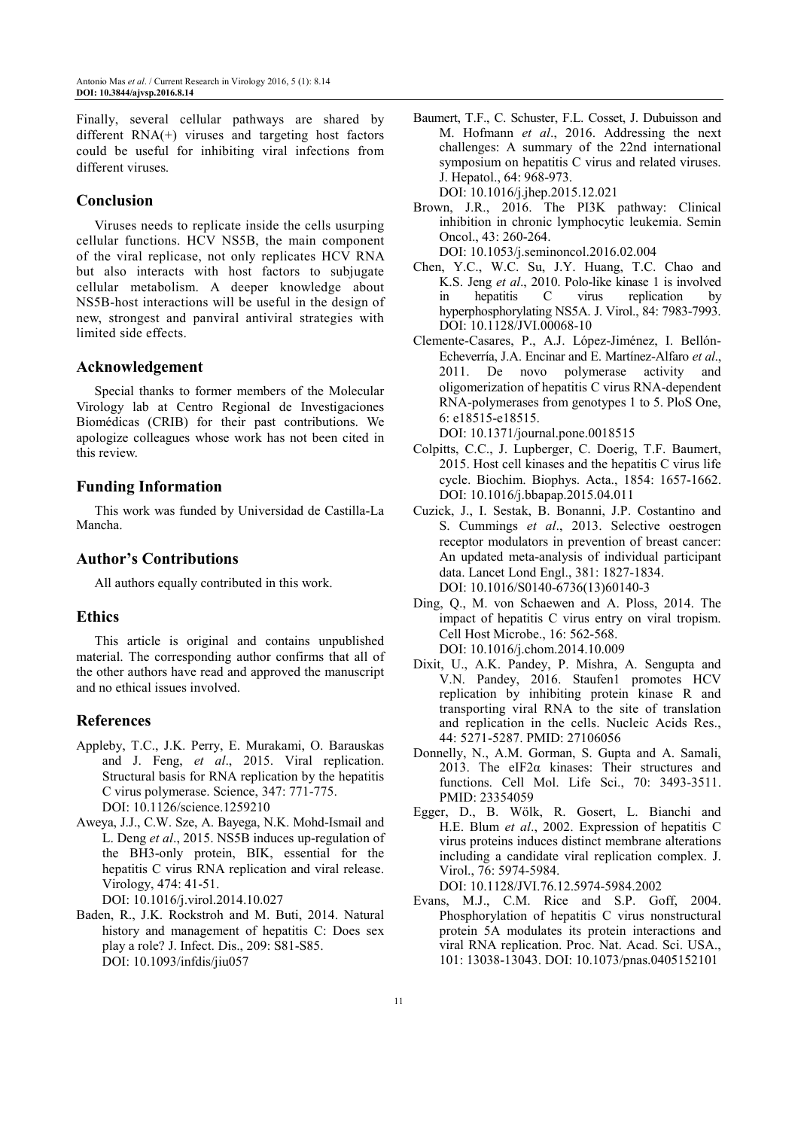Finally, several cellular pathways are shared by different RNA(+) viruses and targeting host factors could be useful for inhibiting viral infections from different viruses.

# **Conclusion**

Viruses needs to replicate inside the cells usurping cellular functions. HCV NS5B, the main component of the viral replicase, not only replicates HCV RNA but also interacts with host factors to subjugate cellular metabolism. A deeper knowledge about NS5B-host interactions will be useful in the design of new, strongest and panviral antiviral strategies with limited side effects.

#### **Acknowledgement**

Special thanks to former members of the Molecular Virology lab at Centro Regional de Investigaciones Biomédicas (CRIB) for their past contributions. We apologize colleagues whose work has not been cited in this review.

## **Funding Information**

This work was funded by Universidad de Castilla-La Mancha.

## **Author's Contributions**

All authors equally contributed in this work.

## **Ethics**

This article is original and contains unpublished material. The corresponding author confirms that all of the other authors have read and approved the manuscript and no ethical issues involved.

## **References**

- Appleby, T.C., J.K. Perry, E. Murakami, O. Barauskas and J. Feng, *et al*., 2015. Viral replication. Structural basis for RNA replication by the hepatitis C virus polymerase. Science, 347: 771-775. DOI: 10.1126/science.1259210
- Aweya, J.J., C.W. Sze, A. Bayega, N.K. Mohd-Ismail and L. Deng *et al*., 2015. NS5B induces up-regulation of the BH3-only protein, BIK, essential for the hepatitis C virus RNA replication and viral release. Virology, 474: 41-51. DOI: 10.1016/j.virol.2014.10.027
- Baden, R., J.K. Rockstroh and M. Buti, 2014. Natural history and management of hepatitis C: Does sex play a role? J. Infect. Dis., 209: S81-S85. DOI: 10.1093/infdis/jiu057

Baumert, T.F., C. Schuster, F.L. Cosset, J. Dubuisson and M. Hofmann *et al*., 2016. Addressing the next challenges: A summary of the 22nd international symposium on hepatitis C virus and related viruses. J. Hepatol., 64: 968-973. DOI: 10.1016/j.jhep.2015.12.021

Brown, J.R., 2016. The PI3K pathway: Clinical inhibition in chronic lymphocytic leukemia. Semin Oncol., 43: 260-264. DOI: 10.1053/j.seminoncol.2016.02.004

- Chen, Y.C., W.C. Su, J.Y. Huang, T.C. Chao and K.S. Jeng *et al*., 2010. Polo-like kinase 1 is involved in hepatitis C virus replication by hyperphosphorylating NS5A. J. Virol., 84: 7983-7993. DOI: 10.1128/JVI.00068-10
- Clemente-Casares, P., A.J. López-Jiménez, I. Bellón-Echeverría, J.A. Encinar and E. Martínez-Alfaro *et al*., 2011. De novo polymerase activity and oligomerization of hepatitis C virus RNA-dependent RNA-polymerases from genotypes 1 to 5. PloS One, 6: e18515-e18515. DOI: 10.1371/journal.pone.0018515
- Colpitts, C.C., J. Lupberger, C. Doerig, T.F. Baumert, 2015. Host cell kinases and the hepatitis C virus life cycle. Biochim. Biophys. Acta., 1854: 1657-1662. DOI: 10.1016/j.bbapap.2015.04.011
- Cuzick, J., I. Sestak, B. Bonanni, J.P. Costantino and S. Cummings *et al*., 2013. Selective oestrogen receptor modulators in prevention of breast cancer: An updated meta-analysis of individual participant data. Lancet Lond Engl., 381: 1827-1834. DOI: 10.1016/S0140-6736(13)60140-3
- Ding, Q., M. von Schaewen and A. Ploss, 2014. The impact of hepatitis C virus entry on viral tropism. Cell Host Microbe., 16: 562-568. DOI: 10.1016/j.chom.2014.10.009
- Dixit, U., A.K. Pandey, P. Mishra, A. Sengupta and V.N. Pandey, 2016. Staufen1 promotes HCV replication by inhibiting protein kinase R and transporting viral RNA to the site of translation and replication in the cells. Nucleic Acids Res., 44: 5271-5287. PMID: 27106056
- Donnelly, N., A.M. Gorman, S. Gupta and A. Samali, 2013. The eIF2α kinases: Their structures and functions. Cell Mol. Life Sci., 70: 3493-3511. PMID: 23354059
- Egger, D., B. Wölk, R. Gosert, L. Bianchi and H.E. Blum *et al*., 2002. Expression of hepatitis C virus proteins induces distinct membrane alterations including a candidate viral replication complex. J. Virol., 76: 5974-5984.

DOI: 10.1128/JVI.76.12.5974-5984.2002

Evans, M.J., C.M. Rice and S.P. Goff, 2004. Phosphorylation of hepatitis C virus nonstructural protein 5A modulates its protein interactions and viral RNA replication. Proc. Nat. Acad. Sci. USA., 101: 13038-13043. DOI: 10.1073/pnas.0405152101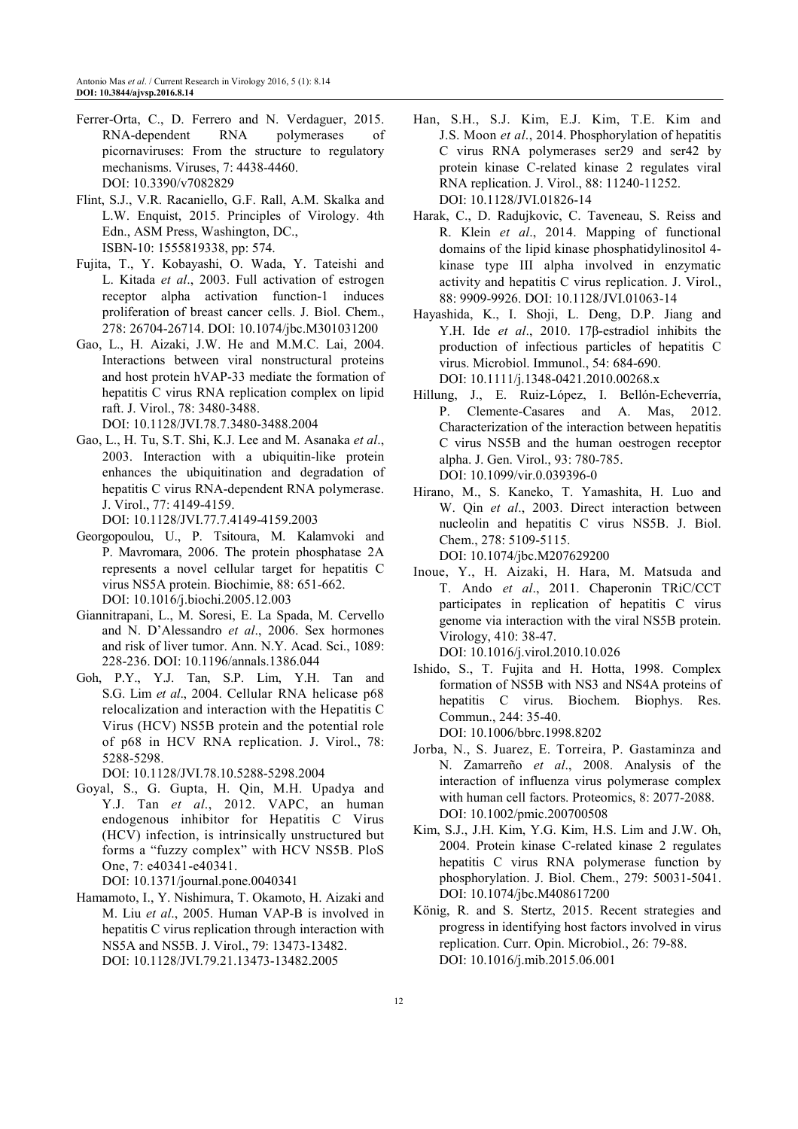- Ferrer-Orta, C., D. Ferrero and N. Verdaguer, 2015. RNA-dependent RNA polymerases of picornaviruses: From the structure to regulatory mechanisms. Viruses, 7: 4438-4460. DOI: 10.3390/v7082829
- Flint, S.J., V.R. Racaniello, G.F. Rall, A.M. Skalka and L.W. Enquist, 2015. Principles of Virology. 4th Edn., ASM Press, Washington, DC., ISBN-10: 1555819338, pp: 574.
- Fujita, T., Y. Kobayashi, O. Wada, Y. Tateishi and L. Kitada *et al*., 2003. Full activation of estrogen receptor alpha activation function-1 induces proliferation of breast cancer cells. J. Biol. Chem., 278: 26704-26714. DOI: 10.1074/jbc.M301031200
- Gao, L., H. Aizaki, J.W. He and M.M.C. Lai, 2004. Interactions between viral nonstructural proteins and host protein hVAP-33 mediate the formation of hepatitis C virus RNA replication complex on lipid raft. J. Virol., 78: 3480-3488. DOI: 10.1128/JVI.78.7.3480-3488.2004
- Gao, L., H. Tu, S.T. Shi, K.J. Lee and M. Asanaka *et al*., 2003. Interaction with a ubiquitin-like protein enhances the ubiquitination and degradation of hepatitis C virus RNA-dependent RNA polymerase. J. Virol., 77: 4149-4159.

DOI: 10.1128/JVI.77.7.4149-4159.2003

- Georgopoulou, U., P. Tsitoura, M. Kalamvoki and P. Mavromara, 2006. The protein phosphatase 2A represents a novel cellular target for hepatitis C virus NS5A protein. Biochimie, 88: 651-662. DOI: 10.1016/j.biochi.2005.12.003
- Giannitrapani, L., M. Soresi, E. La Spada, M. Cervello and N. D'Alessandro *et al*., 2006. Sex hormones and risk of liver tumor. Ann. N.Y. Acad. Sci., 1089: 228-236. DOI: 10.1196/annals.1386.044
- Goh, P.Y., Y.J. Tan, S.P. Lim, Y.H. Tan and S.G. Lim *et al*., 2004. Cellular RNA helicase p68 relocalization and interaction with the Hepatitis C Virus (HCV) NS5B protein and the potential role of p68 in HCV RNA replication. J. Virol., 78: 5288-5298.

DOI: 10.1128/JVI.78.10.5288-5298.2004

- Goyal, S., G. Gupta, H. Qin, M.H. Upadya and Y.J. Tan *et al*., 2012. VAPC, an human endogenous inhibitor for Hepatitis C Virus (HCV) infection, is intrinsically unstructured but forms a "fuzzy complex" with HCV NS5B. PloS One, 7: e40341-e40341. DOI: 10.1371/journal.pone.0040341
- Hamamoto, I., Y. Nishimura, T. Okamoto, H. Aizaki and M. Liu *et al*., 2005. Human VAP-B is involved in hepatitis C virus replication through interaction with NS5A and NS5B. J. Virol., 79: 13473-13482. DOI: 10.1128/JVI.79.21.13473-13482.2005
- Han, S.H., S.J. Kim, E.J. Kim, T.E. Kim and J.S. Moon *et al*., 2014. Phosphorylation of hepatitis C virus RNA polymerases ser29 and ser42 by protein kinase C-related kinase 2 regulates viral RNA replication. J. Virol., 88: 11240-11252. DOI: 10.1128/JVI.01826-14
- Harak, C., D. Radujkovic, C. Taveneau, S. Reiss and R. Klein *et al*., 2014. Mapping of functional domains of the lipid kinase phosphatidylinositol 4 kinase type III alpha involved in enzymatic activity and hepatitis C virus replication. J. Virol., 88: 9909-9926. DOI: 10.1128/JVI.01063-14
- Hayashida, K., I. Shoji, L. Deng, D.P. Jiang and Y.H. Ide *et al*., 2010. 17β-estradiol inhibits the production of infectious particles of hepatitis C virus. Microbiol. Immunol., 54: 684-690. DOI: 10.1111/j.1348-0421.2010.00268.x
- Hillung, J., E. Ruiz-López, I. Bellón-Echeverría, P. Clemente-Casares and A. Mas, 2012. Characterization of the interaction between hepatitis C virus NS5B and the human oestrogen receptor alpha. J. Gen. Virol., 93: 780-785. DOI: 10.1099/vir.0.039396-0
- Hirano, M., S. Kaneko, T. Yamashita, H. Luo and W. Qin *et al*., 2003. Direct interaction between nucleolin and hepatitis C virus NS5B. J. Biol. Chem., 278: 5109-5115.

DOI: 10.1074/jbc.M207629200

Inoue, Y., H. Aizaki, H. Hara, M. Matsuda and T. Ando *et al*., 2011. Chaperonin TRiC/CCT participates in replication of hepatitis C virus genome via interaction with the viral NS5B protein. Virology, 410: 38-47.

DOI: 10.1016/j.virol.2010.10.026

Ishido, S., T. Fujita and H. Hotta, 1998. Complex formation of NS5B with NS3 and NS4A proteins of hepatitis C virus. Biochem. Biophys. Res. Commun., 244: 35-40.

DOI: 10.1006/bbrc.1998.8202

- Jorba, N., S. Juarez, E. Torreira, P. Gastaminza and N. Zamarreño *et al*., 2008. Analysis of the interaction of influenza virus polymerase complex with human cell factors. Proteomics, 8: 2077-2088. DOI: 10.1002/pmic.200700508
- Kim, S.J., J.H. Kim, Y.G. Kim, H.S. Lim and J.W. Oh, 2004. Protein kinase C-related kinase 2 regulates hepatitis C virus RNA polymerase function by phosphorylation. J. Biol. Chem., 279: 50031-5041. DOI: 10.1074/jbc.M408617200
- König, R. and S. Stertz, 2015. Recent strategies and progress in identifying host factors involved in virus replication. Curr. Opin. Microbiol., 26: 79-88. DOI: 10.1016/j.mib.2015.06.001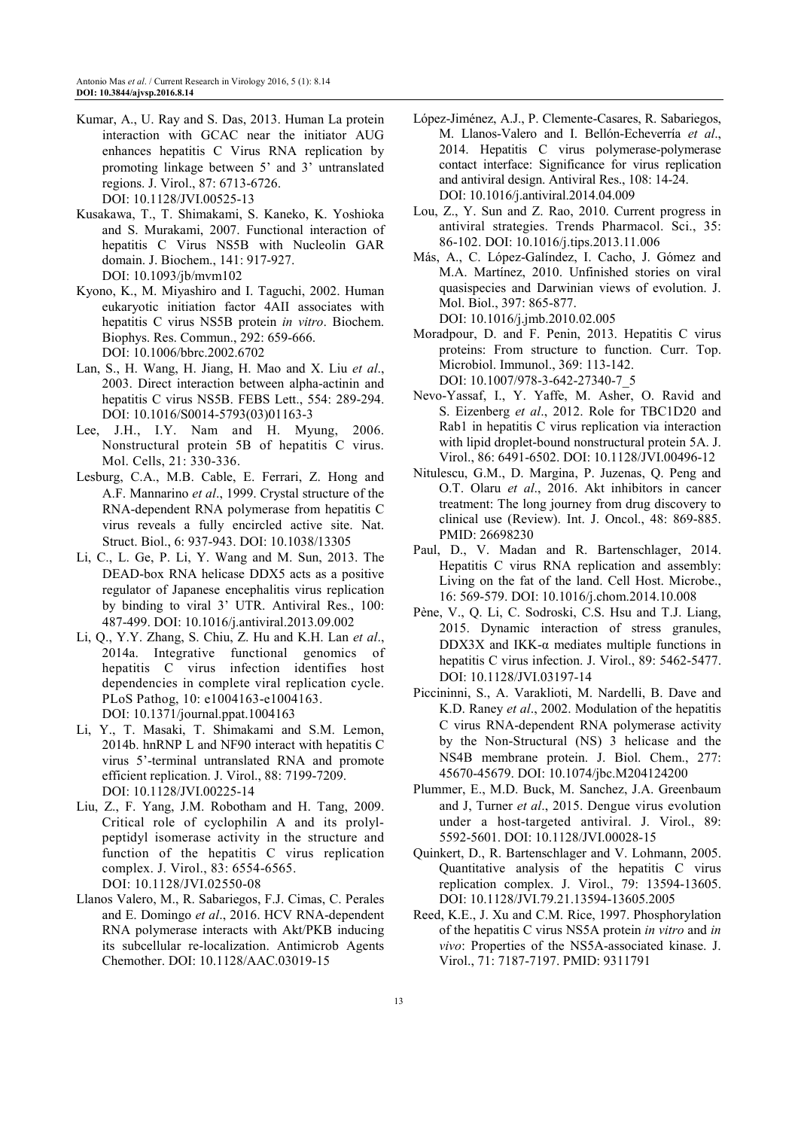- Kumar, A., U. Ray and S. Das, 2013. Human La protein interaction with GCAC near the initiator AUG enhances hepatitis C Virus RNA replication by promoting linkage between 5' and 3' untranslated regions. J. Virol., 87: 6713-6726. DOI: 10.1128/JVI.00525-13
- Kusakawa, T., T. Shimakami, S. Kaneko, K. Yoshioka and S. Murakami, 2007. Functional interaction of hepatitis C Virus NS5B with Nucleolin GAR domain. J. Biochem., 141: 917-927. DOI: 10.1093/jb/mvm102
- Kyono, K., M. Miyashiro and I. Taguchi, 2002. Human eukaryotic initiation factor 4AII associates with hepatitis C virus NS5B protein *in vitro*. Biochem. Biophys. Res. Commun., 292: 659-666. DOI: 10.1006/bbrc.2002.6702
- Lan, S., H. Wang, H. Jiang, H. Mao and X. Liu *et al*., 2003. Direct interaction between alpha-actinin and hepatitis C virus NS5B. FEBS Lett., 554: 289-294. DOI: 10.1016/S0014-5793(03)01163-3
- Lee, J.H., I.Y. Nam and H. Myung, 2006. Nonstructural protein 5B of hepatitis C virus. Mol. Cells, 21: 330-336.
- Lesburg, C.A., M.B. Cable, E. Ferrari, Z. Hong and A.F. Mannarino *et al*., 1999. Crystal structure of the RNA-dependent RNA polymerase from hepatitis C virus reveals a fully encircled active site. Nat. Struct. Biol., 6: 937-943. DOI: 10.1038/13305
- Li, C., L. Ge, P. Li, Y. Wang and M. Sun, 2013. The DEAD-box RNA helicase DDX5 acts as a positive regulator of Japanese encephalitis virus replication by binding to viral 3' UTR. Antiviral Res., 100: 487-499. DOI: 10.1016/j.antiviral.2013.09.002
- Li, Q., Y.Y. Zhang, S. Chiu, Z. Hu and K.H. Lan *et al*., 2014a. Integrative functional genomics of hepatitis C virus infection identifies host dependencies in complete viral replication cycle. PLoS Pathog, 10: e1004163-e1004163. DOI: 10.1371/journal.ppat.1004163
- Li, Y., T. Masaki, T. Shimakami and S.M. Lemon, 2014b. hnRNP L and NF90 interact with hepatitis C virus 5'-terminal untranslated RNA and promote efficient replication. J. Virol., 88: 7199-7209. DOI: 10.1128/JVI.00225-14
- Liu, Z., F. Yang, J.M. Robotham and H. Tang, 2009. Critical role of cyclophilin A and its prolylpeptidyl isomerase activity in the structure and function of the hepatitis C virus replication complex. J. Virol., 83: 6554-6565. DOI: 10.1128/JVI.02550-08
- Llanos Valero, M., R. Sabariegos, F.J. Cimas, C. Perales and E. Domingo *et al*., 2016. HCV RNA-dependent RNA polymerase interacts with Akt/PKB inducing its subcellular re-localization. Antimicrob Agents Chemother. DOI: 10.1128/AAC.03019-15
- López-Jiménez, A.J., P. Clemente-Casares, R. Sabariegos, M. Llanos-Valero and I. Bellón-Echeverría *et al*., 2014. Hepatitis C virus polymerase-polymerase contact interface: Significance for virus replication and antiviral design. Antiviral Res., 108: 14-24. DOI: 10.1016/j.antiviral.2014.04.009
- Lou, Z., Y. Sun and Z. Rao, 2010. Current progress in antiviral strategies. Trends Pharmacol. Sci., 35: 86-102. DOI: 10.1016/j.tips.2013.11.006
- Más, A., C. López-Galíndez, I. Cacho, J. Gómez and M.A. Martínez, 2010. Unfinished stories on viral quasispecies and Darwinian views of evolution. J. Mol. Biol., 397: 865-877. DOI: 10.1016/j.jmb.2010.02.005
- Moradpour, D. and F. Penin, 2013. Hepatitis C virus proteins: From structure to function. Curr. Top. Microbiol. Immunol., 369: 113-142. DOI: 10.1007/978-3-642-27340-7\_5
- Nevo-Yassaf, I., Y. Yaffe, M. Asher, O. Ravid and S. Eizenberg *et al*., 2012. Role for TBC1D20 and Rab1 in hepatitis C virus replication via interaction with lipid droplet-bound nonstructural protein 5A. J. Virol., 86: 6491-6502. DOI: 10.1128/JVI.00496-12
- Nitulescu, G.M., D. Margina, P. Juzenas, Q. Peng and O.T. Olaru *et al*., 2016. Akt inhibitors in cancer treatment: The long journey from drug discovery to clinical use (Review). Int. J. Oncol., 48: 869-885. PMID: 26698230
- Paul, D., V. Madan and R. Bartenschlager, 2014. Hepatitis C virus RNA replication and assembly: Living on the fat of the land. Cell Host. Microbe., 16: 569-579. DOI: 10.1016/j.chom.2014.10.008
- Pène, V., Q. Li, C. Sodroski, C.S. Hsu and T.J. Liang, 2015. Dynamic interaction of stress granules, DDX3X and IKK-α mediates multiple functions in hepatitis C virus infection. J. Virol., 89: 5462-5477. DOI: 10.1128/JVI.03197-14
- Piccininni, S., A. Varaklioti, M. Nardelli, B. Dave and K.D. Raney *et al*., 2002. Modulation of the hepatitis C virus RNA-dependent RNA polymerase activity by the Non-Structural (NS) 3 helicase and the NS4B membrane protein. J. Biol. Chem., 277: 45670-45679. DOI: 10.1074/jbc.M204124200
- Plummer, E., M.D. Buck, M. Sanchez, J.A. Greenbaum and J, Turner *et al*., 2015. Dengue virus evolution under a host-targeted antiviral. J. Virol., 89: 5592-5601. DOI: 10.1128/JVI.00028-15
- Quinkert, D., R. Bartenschlager and V. Lohmann, 2005. Quantitative analysis of the hepatitis C virus replication complex. J. Virol., 79: 13594-13605. DOI: 10.1128/JVI.79.21.13594-13605.2005
- Reed, K.E., J. Xu and C.M. Rice, 1997. Phosphorylation of the hepatitis C virus NS5A protein *in vitro* and *in vivo*: Properties of the NS5A-associated kinase. J. Virol., 71: 7187-7197. PMID: 9311791